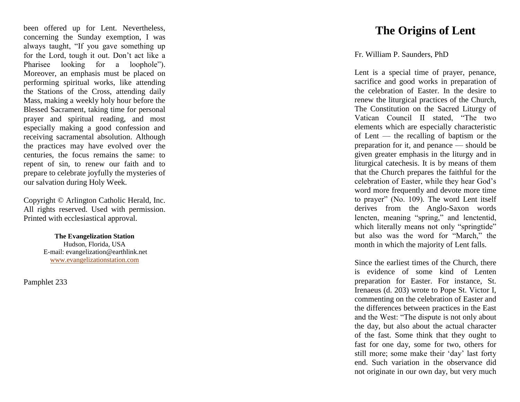been offered up for Lent. Nevertheless, concerning the Sunday exemption, I was always taught, "If you gave something up for the Lord, tough it out. Don't act like a Pharisee looking for a loophole") . Moreover, an emphasis must be placed on performing spiritual works, like attending the Stations of the Cross, attending daily Mass, making a weekly holy hour before the Blessed Sacrament, taking time for personal prayer and spiritual reading, and most especially making a good confession and receiving sacramental absolution. Although the practices may have evolved over the centuries, the focus remains the same: to repent of sin, to renew our faith and to prepare to celebrate joyfully the mysteries of our salvation during Holy Week.

Copyright © Arlington Catholic Herald, Inc. All rights reserved. Used with permission. Printed with ecclesiastical approval.

> **The Evangelization Station** Hudson, Florida, USA E -mail: evangelization@earthlink.net [www.evangelizationstation.com](http://www.pjpiisoe.org/)

Pamphlet 233

## **The Origins of Lent**

## Fr. William P. Saunders, PhD

Lent is a special time of prayer, penance, sacrifice and good works in preparation of the celebration of Easter. In the desire to renew the liturgical practices of the Church, The Constitution on the Sacred Liturgy of Vatican Council II stated, "The two elements which are especially characteristic of Lent — the recalling of baptism or the preparation for it, and penance — should be given greater emphasis in the liturgy and in liturgical catechesis. It is by means of them that the Church prepares the faithful for the celebration of Easter, while they hear God's word more frequently and devote more time to prayer" (No. 109). The word Lent itself derives from the Anglo -Saxon words lencten, meaning "spring," and lenctentid, which literally means not only "springtide" but also was the word for "March," the month in which the majority of Lent falls.

Since the earliest times of the Church, there is evidence of some kind of Lenten preparation for Easter. For instance, St. Irenaeus (d. 203) wrote to Pope St. Victor I, commenting on the celebration of Easter and the differences between practices in the East and the West: "The dispute is not only about the day, but also about the actual character of the fast. Some think that they ought to fast for one day, some for two, others for still more; some make their 'day' last forty end. Such variation in the observance did not originate in our own day, but very much